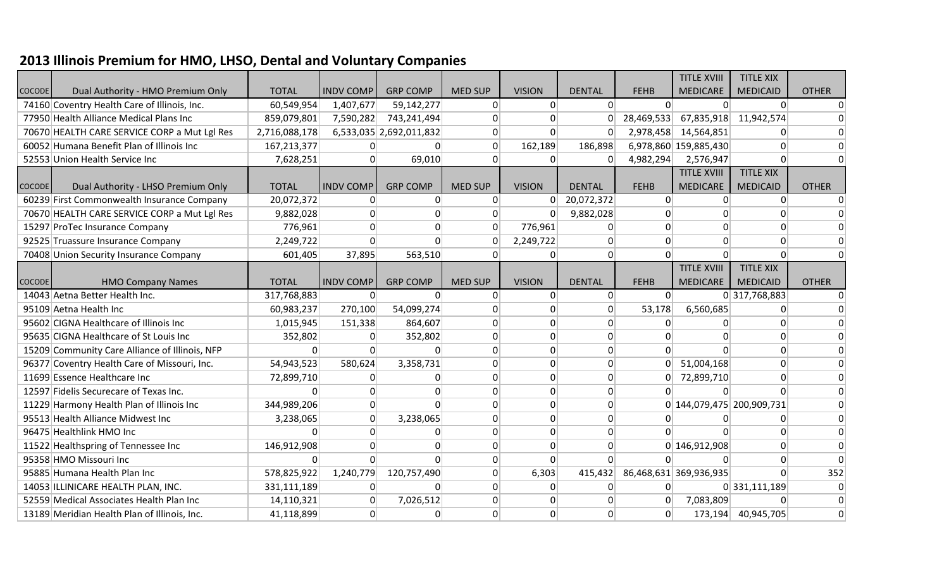## **2013 Illinois Premium for HMO, LHSO, Dental and Voluntary Companies**

|               |                                                |               |                  |                         |                |                 |                 |             | <b>TITLE XVIII</b>        | <b>TITLE XIX</b>      |              |
|---------------|------------------------------------------------|---------------|------------------|-------------------------|----------------|-----------------|-----------------|-------------|---------------------------|-----------------------|--------------|
| <b>COCODE</b> | Dual Authority - HMO Premium Only              | <b>TOTAL</b>  | <b>INDV COMP</b> | <b>GRP COMP</b>         | <b>MED SUP</b> | <b>VISION</b>   | <b>DENTAL</b>   | <b>FEHB</b> | <b>MEDICARE</b>           | <b>MEDICAID</b>       | <b>OTHER</b> |
|               | 74160 Coventry Health Care of Illinois, Inc.   | 60,549,954    | 1,407,677        | 59,142,277              | $\Omega$       | $\Omega$        | $\Omega$        | $\Omega$    | $\Omega$                  | $\Omega$              | $\Omega$     |
|               | 77950 Health Alliance Medical Plans Inc        | 859,079,801   | 7,590,282        | 743,241,494             | 0              | $\Omega$        | $\Omega$        | 28,469,533  |                           | 67,835,918 11,942,574 | $\Omega$     |
|               | 70670 HEALTH CARE SERVICE CORP a Mut Lgl Res   | 2,716,088,178 |                  | 6,533,035 2,692,011,832 | 0              | $\Omega$        | $\Omega$        | 2,978,458   | 14,564,851                | 0                     |              |
|               | 60052 Humana Benefit Plan of Illinois Inc      | 167,213,377   | 0                |                         | $\Omega$       | 162,189         | 186,898         |             | 6,978,860 159,885,430     | $\Omega$              |              |
|               | 52553 Union Health Service Inc                 | 7,628,251     | $\Omega$         | 69,010                  | $\Omega$       | $\Omega$        | $\Omega$        | 4,982,294   | 2,576,947                 | $\Omega$              |              |
|               |                                                |               |                  |                         |                |                 |                 |             | <b>TITLE XVIII</b>        | <b>TITLE XIX</b>      |              |
| <b>COCODE</b> | Dual Authority - LHSO Premium Only             | <b>TOTAL</b>  | <b>INDV COMP</b> | <b>GRP COMP</b>         | <b>MED SUP</b> | <b>VISION</b>   | <b>DENTAL</b>   | <b>FEHB</b> | <b>MEDICARE</b>           | <b>MEDICAID</b>       | <b>OTHER</b> |
|               | 60239 First Commonwealth Insurance Company     | 20,072,372    | $\Omega$         | $\Omega$                | $\Omega$       | $\Omega$        | 20,072,372      | $\Omega$    | $\Omega$                  | $\Omega$              | $\Omega$     |
|               | 70670 HEALTH CARE SERVICE CORP a Mut Lgl Res   | 9,882,028     | $\Omega$         | $\Omega$                | 0              | $\Omega$        | 9,882,028       | $\Omega$    | <sup>0</sup>              | $\Omega$              | $\Omega$     |
|               | 15297 ProTec Insurance Company                 | 776,961       | $\Omega$         | $\Omega$                | $\Omega$       | 776,961         | O               | $\Omega$    |                           | $\Omega$              |              |
|               | 92525 Truassure Insurance Company              | 2,249,722     | $\Omega$         |                         | 0              | 2,249,722       | O               | $\Omega$    |                           | 0                     |              |
|               | 70408 Union Security Insurance Company         | 601,405       | 37,895           | 563,510                 | $\Omega$       | $\Omega$        | $\Omega$        | $\Omega$    | $\Omega$                  | $\Omega$              | $\Omega$     |
|               |                                                |               |                  |                         |                |                 |                 |             | <b>TITLE XVIII</b>        | <b>TITLE XIX</b>      |              |
| <b>COCODE</b> | <b>HMO Company Names</b>                       | <b>TOTAL</b>  | <b>INDV COMP</b> | <b>GRP COMP</b>         | <b>MED SUP</b> | <b>VISION</b>   | <b>DENTAL</b>   | <b>FEHB</b> | <b>MEDICARE</b>           | <b>MEDICAID</b>       | <b>OTHER</b> |
|               | 14043 Aetna Better Health Inc.                 | 317,768,883   | $\Omega$         |                         | $\Omega$       | $\vert$ 0       | $\vert 0 \vert$ | $\Omega$    |                           | 0 317,768,883         | $\Omega$     |
|               | 95109 Aetna Health Inc                         | 60,983,237    | 270,100          | 54,099,274              | 0              | $\Omega$        | $\Omega$        | 53,178      | 6,560,685                 | $\Omega$              | $\Omega$     |
|               | 95602 CIGNA Healthcare of Illinois Inc         | 1,015,945     | 151,338          | 864,607                 | 0              | $\Omega$        | $\Omega$        | $\Omega$    | 0                         | $\Omega$              |              |
|               | 95635 CIGNA Healthcare of St Louis Inc         | 352,802       | 0                | 352,802                 | 0              | 0               | $\Omega$        | $\Omega$    |                           | $\Omega$              |              |
|               | 15209 Community Care Alliance of Illinois, NFP |               | $\Omega$         |                         | 0              | $\vert 0 \vert$ | $\Omega$        | $\Omega$    |                           | $\Omega$              | $\Omega$     |
|               | 96377 Coventry Health Care of Missouri, Inc.   | 54,943,523    | 580,624          | 3,358,731               | $\Omega$       | $\Omega$        | $\Omega$        | $\Omega$    | 51,004,168                | $\Omega$              | $\Omega$     |
|               | 11699 Essence Healthcare Inc                   | 72,899,710    | 0                |                         | 0              | $\overline{0}$  | $\Omega$        | 0           | 72,899,710                | $\overline{0}$        |              |
|               | 12597 Fidelis Securecare of Texas Inc.         |               | 0                |                         | 0              | $\Omega$        | $\Omega$        | $\Omega$    |                           | $\Omega$              | $\Omega$     |
|               | 11229 Harmony Health Plan of Illinois Inc      | 344,989,206   | 0                |                         | 0              | 0               | $\overline{0}$  |             | 0 144,079,475 200,909,731 |                       | $\Omega$     |
|               | 95513 Health Alliance Midwest Inc              | 3,238,065     | $\Omega$         | 3,238,065               | 0              | 0               | $\Omega$        | $\Omega$    |                           | $\Omega$              | 0            |
|               | 96475 Healthlink HMO Inc                       | $\Omega$      | 0                | 0                       | 0              | 0               | $\overline{0}$  | $\Omega$    |                           | $\Omega$              | $\Omega$     |
|               | 11522 Healthspring of Tennessee Inc            | 146,912,908   | 0                |                         | 0              | $\Omega$        | O               |             | 0 146,912,908             | 0                     | $\Omega$     |
|               | 95358 HMO Missouri Inc                         | <sup>0</sup>  | $\Omega$         |                         | 0              | $\Omega$        | $\Omega$        | $\Omega$    | $\Omega$                  | $\Omega$              | U            |
|               | 95885 Humana Health Plan Inc                   | 578,825,922   | 1,240,779        | 120,757,490             | 0              | 6,303           | 415,432         |             | 86,468,631 369,936,935    | $\Omega$              | 352          |
|               | 14053 ILLINICARE HEALTH PLAN, INC.             | 331,111,189   | $\Omega$         |                         | 0              | $\Omega$        | $\Omega$        | $\Omega$    |                           | 0 331,111,189         | 0            |
|               | 52559 Medical Associates Health Plan Inc       | 14,110,321    | $\Omega$         | 7,026,512               | $\Omega$       | $\Omega$        | ŋ               | $\Omega$    | 7,083,809                 | $\Omega$              | $\Omega$     |
|               | 13189 Meridian Health Plan of Illinois, Inc.   | 41,118,899    | $\overline{0}$   | $\Omega$                | 0              | $\Omega$        | $\Omega$        | $\Omega$    | 173,194                   | 40,945,705            | $\Omega$     |